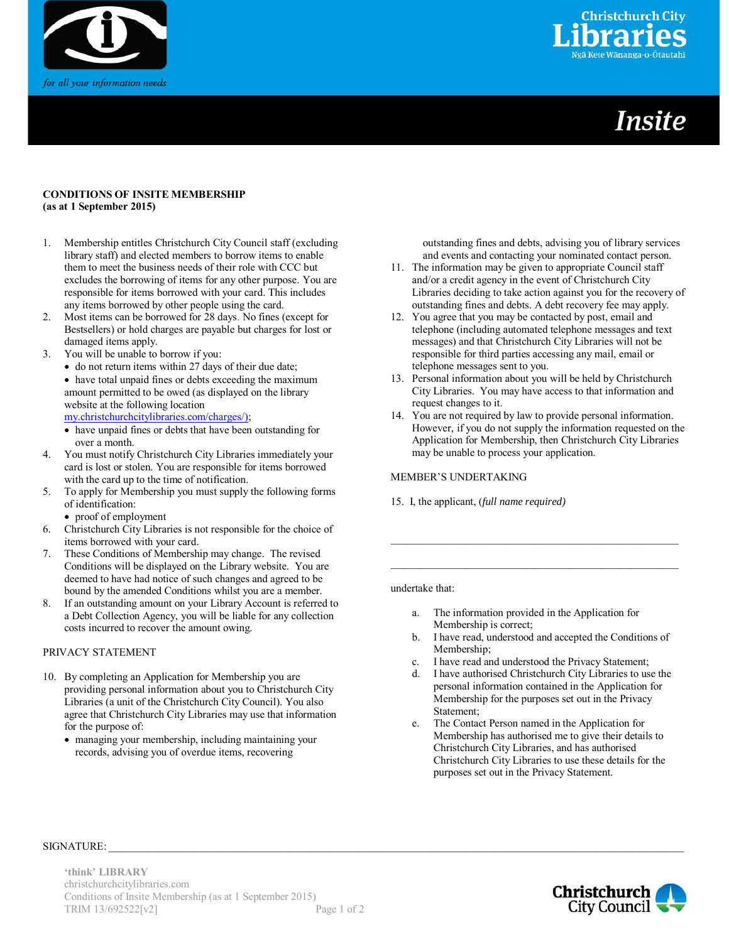



# **Insite**

## **CONDITIONS OF INSITE MEMBERSHIP (as at 1 September 2015)**

- 1. Membership entitles Christchurch City Council staff (excluding library staff) and elected members to borrow items to enable them to meet the business needs of their role with CCC but excludes the borrowing of items for any other purpose. You are responsible for items borrowed with your card. This includes any items borrowed by other people using the card.
- 2. Most items can be borrowed for 28 days. No fines (except for Bestsellers) or hold charges are payable but charges for lost or damaged items apply.
- 3. You will be unable to borrow if you:
	- do not return items within 27 days of their due date; • have total unpaid fines or debts exceeding the maximum amount permitted to be owed (as displayed on the library website at the following location

[my.christchurchcitylibraries.com/charges/\)](http://my.christchurchcitylibraries.com/charges/);

- have unpaid fines or debts that have been outstanding for over a month.
- 4. You must notify Christchurch City Libraries immediately your card is lost or stolen. You are responsible for items borrowed with the card up to the time of notification.
- 5. To apply for Membership you must supply the following forms of identification:
	- proof of employment
- 6. Christchurch City Libraries is not responsible for the choice of items borrowed with your card.
- 7. These Conditions of Membership may change. The revised Conditions will be displayed on the Library website. You are deemed to have had notice of such changes and agreed to be bound by the amended Conditions whilst you are a member.
- 8. If an outstanding amount on your Library Account is referred to a Debt Collection Agency, you will be liable for any collection costs incurred to recover the amount owing.

## PRIVACY STATEMENT

- 10. By completing an Application for Membership you are providing personal information about you to Christchurch City Libraries (a unit of the Christchurch City Council). You also agree that Christchurch City Libraries may use that information for the purpose of:
	- managing your membership, including maintaining your records, advising you of overdue items, recovering

 outstanding fines and debts, advising you of library services and events and contacting your nominated contact person.

- 11. The information may be given to appropriate Council staff and/or a credit agency in the event of Christchurch City Libraries deciding to take action against you for the recovery of outstanding fines and debts. A debt recovery fee may apply.
- 12. You agree that you may be contacted by post, email and telephone (including automated telephone messages and text messages) and that Christchurch City Libraries will not be responsible for third parties accessing any mail, email or telephone messages sent to you.
- 13. Personal information about you will be held by Christchurch City Libraries. You may have access to that information and request changes to it.
- 14. You are not required by law to provide personal information. However, if you do not supply the information requested on the Application for Membership, then Christchurch City Libraries may be unable to process your application.

\_\_\_\_\_\_\_\_\_\_\_\_\_\_\_\_\_\_\_\_\_\_\_\_\_\_\_\_\_\_\_\_\_\_\_\_\_\_\_\_\_\_\_\_\_\_\_\_\_\_\_\_\_

\_\_\_\_\_\_\_\_\_\_\_\_\_\_\_\_\_\_\_\_\_\_\_\_\_\_\_\_\_\_\_\_\_\_\_\_\_\_\_\_\_\_\_\_\_\_\_\_\_\_\_\_\_

## MEMBER'S UNDERTAKING

15. I, the applicant, (*full name required)* 

undertake that:

- a. The information provided in the Application for Membership is correct;
- b. I have read, understood and accepted the Conditions of Membership;
- c. I have read and understood the Privacy Statement;
- d. I have authorised Christchurch City Libraries to use the personal information contained in the Application for Membership for the purposes set out in the Privacy Statement;
- e. The Contact Person named in the Application for Membership has authorised me to give their details to Christchurch City Libraries, and has authorised Christchurch City Libraries to use these details for the purposes set out in the Privacy Statement.

#### $SIGNATURE:$